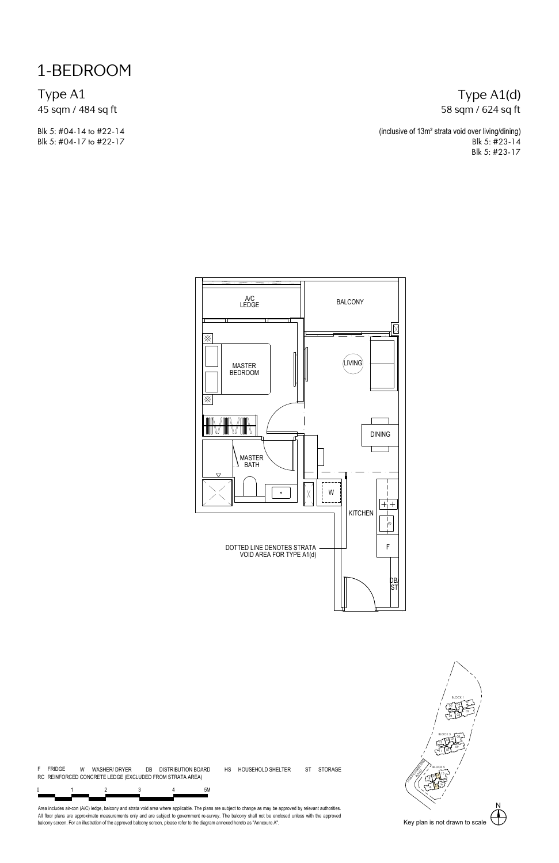1-BEDROOM

Type A1 45 sqm / 484 sq ft

Blk 5: #04-14 to #22-14 Blk 5: #04-17 to #22-17

#### Type A1(d) 58 sqm / 624 sq ft

(inclusive of 13m² strata void over living/dining) Blk 5: #23-14 Blk 5: #23-17





Area includes air-con (A/C) ledge, balcony and strata vold area where applicable. The plans are subject to change as may be approved by relevant authorities.<br>All floor plans are approximate measurements only and are subjec

01 **\** / 02 17

1 <u>نسمان</u> آ®آ 56

BLOCK 1

N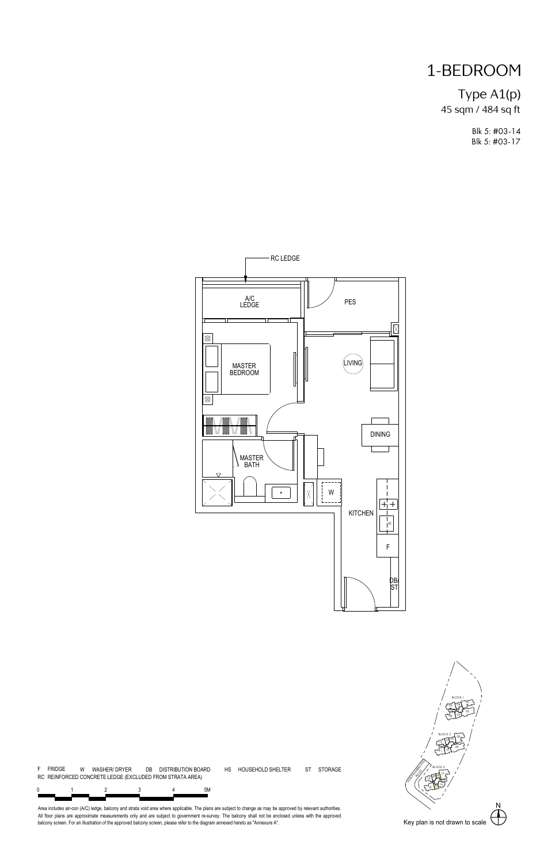# 1-BEDROOM

### Type A1(p) 45 sqm / 484 sq ft

Blk 5: #03-14 Blk 5: #03-17



ST STORAGE

N NORTHUMBERLAND 01 **\** / 02 17  $03 - 7$ 1 <u>نسمان</u> آ®آ 56 ا د 08 09  $10$   $10$   $10$   $10$   $10$   $10$   $10$   $10$ <sup>12</sup> <sup>13</sup> <sup>07</sup>  $\frac{15}{2}$   $\frac{1}{2}$ 16 S / 2002  $18 \sqrt{7}$  $19$   $20 - 12$  / BLOCK 1 BLOCK 3  $\sum_{n=1}^{n}$ BLOCK 5 /

0 1 2 3 4 5M 4 RC REINFORCED CONCRETE LEDGE (EXCLUDED FROM STRATA AREA)

F FRIDGE W WASHER/ DRYER DB DISTRIBUTION BOARD HS HOUSEHOLD SHELTER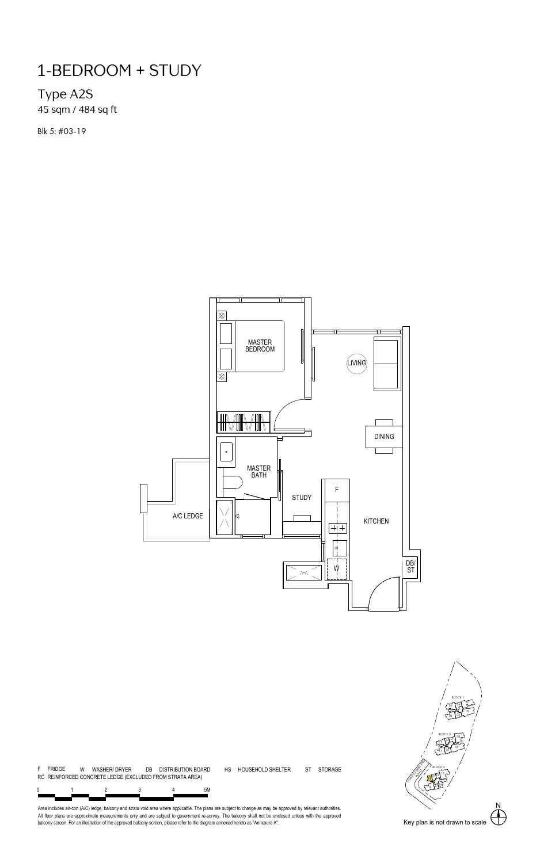### Type A2S

45 sqm / 484 sq ft

Blk 5: #03-19



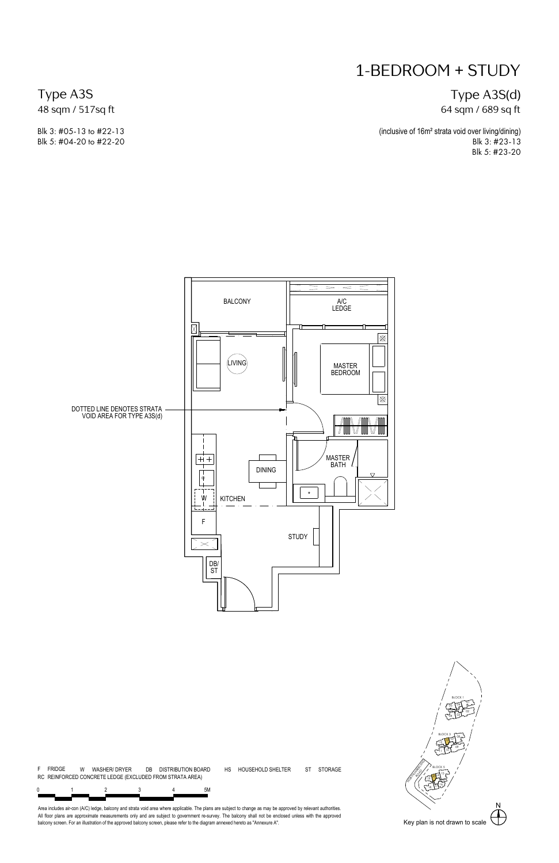Type A3S(d) 64 sqm / 689 sq ft

(inclusive of 16m² strata void over living/dining) Blk 3: #23-13 Blk 5: #23-20

Type A3S 48 sqm / 517sq ft

Blk 3: #05-13 to #22-13 Blk 5: #04-20 to #22-20



N NORTHUMBERLAND 01 **\** / 02 17  $03 - 7$ 1 <u>نسمان</u> آ®آ 56 ا د 08 09  $10$   $10$   $10$   $10$   $10$   $10$   $10$   $10$  $12 \frac{13}{2}$  $\sqrt{15}$   $\frac{1}{2}$   $\frac{1}{2}$   $\frac{1}{2}$   $\frac{1}{2}$   $\frac{1}{2}$   $\frac{1}{2}$   $\frac{1}{2}$   $\frac{1}{2}$   $\frac{1}{2}$   $\frac{1}{2}$   $\frac{1}{2}$   $\frac{1}{2}$   $\frac{1}{2}$   $\frac{1}{2}$   $\frac{1}{2}$   $\frac{1}{2}$   $\frac{1}{2}$   $\frac{1}{2}$   $\frac{1}{2}$   $\frac{1}{2}$   $\frac{1}{2}$   $\$ 16 S / 2002 م مستوفر 18 18  $19$   $\frac{1}{20}$   $\frac{1}{20}$   $\frac{1}{20}$ BLOCK 1 BLOCK 3  $\sum_{n=1}^{n}$ BLOCK 5 /

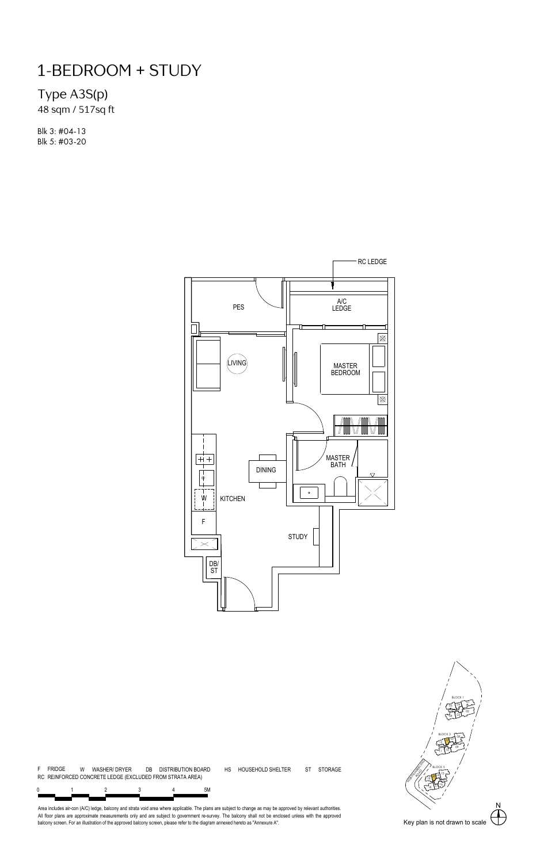Type A3S(p)

48 sqm / 517sq ft

Blk 3: #04-13 Blk 5: #03-20



ST STORAGE

N NORTHUMBERLAND 01 **\** / 02 17  $03 - 7$ 1 <u>نسمان</u> آ®آ 56 ا د 08 09  $10$   $10$   $10$   $10$   $10$   $10$   $10$   $10$  $12 \frac{13}{2}$  $\sqrt{15}$   $\frac{1}{2}$   $\frac{1}{2}$   $\frac{1}{2}$   $\frac{1}{2}$   $\frac{1}{2}$   $\frac{1}{2}$   $\frac{1}{2}$   $\frac{1}{2}$   $\frac{1}{2}$   $\frac{1}{2}$   $\frac{1}{2}$   $\frac{1}{2}$   $\frac{1}{2}$   $\frac{1}{2}$   $\frac{1}{2}$   $\frac{1}{2}$   $\frac{1}{2}$   $\frac{1}{2}$   $\frac{1}{2}$   $\frac{1}{2}$   $\frac{1}{2}$   $\$ 16 S / 2002 م مستوفر 18 18  $19$   $\frac{1}{20}$   $\frac{1}{20}$   $\frac{1}{20}$ BLOCK 1 BLOCK 3  $\sum_{n=1}^{n}$ BLOCK 5 /



4

F FRIDGE W WASHER/ DRYER DB DISTRIBUTION BOARD HS HOUSEHOLD SHELTER

RC REINFORCED CONCRETE LEDGE (EXCLUDED FROM STRATA AREA)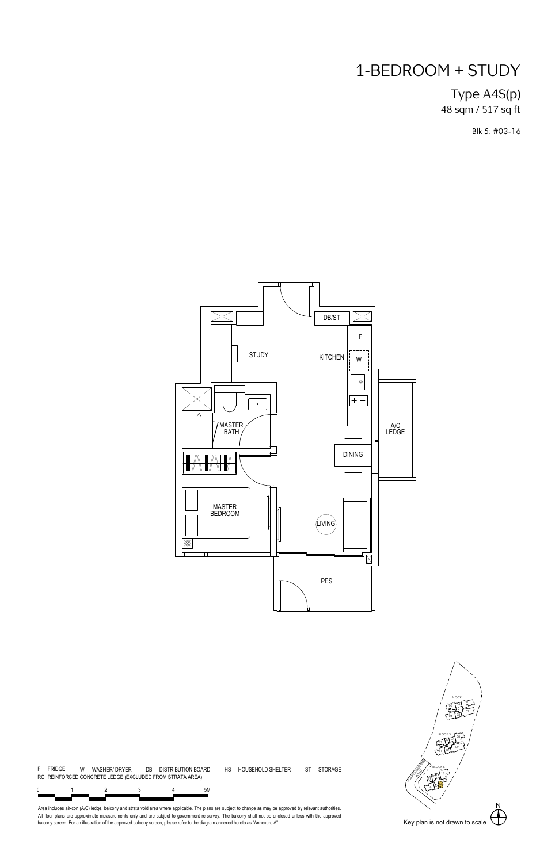### Type A4S(p) 48 sqm / 517 sq ft

Blk 5: #03-16





01 **\** / 02 17  $03 - 7$ 1 <u>نسمان</u> آ®آ 56

BLOCK 1

N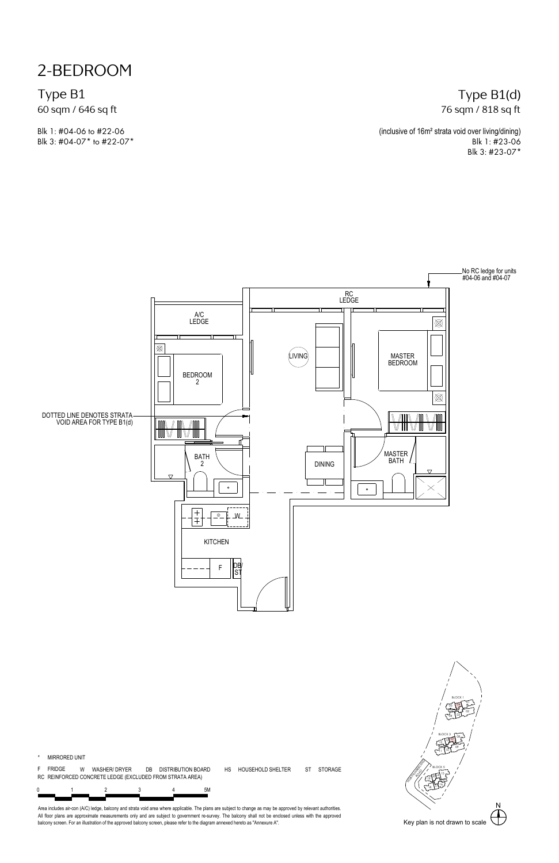2-BEDROOM

Type B1 60 sqm / 646 sq ft

Blk 1: #04-06 to #22-06 Blk 3: #04-07\* to #22-07\*

#### Type B1(d) 76 sqm / 818 sq ft

(inclusive of 16m² strata void over living/dining) Blk 1: #23-06 Blk 3: #23-07\*



\* MIRRORED UNIT

F FRIDGE W WASHER/ DRYER DB DISTRIBUTION BOARD HS HOUSEHOLD SHELTER ST STORAGE RC REINFORCED CONCRETE LEDGE (EXCLUDED FROM STRATA AREA)

0 1 2 3 4 5M 4

Area includes air-con (A/C) ledge, balcony and strata vold area where applicable. The plans are subject to change as may be approved by relevant authorities.<br>All floor plans are approximate measurements only and are subjec

N NORTHUMBERLAND 01 **\** / 02 17  $03 - 7$  $05 \left( \frac{06}{2} \right)$ ا د 08 09  $10$   $10$   $10$   $10$   $10$   $10$   $10$   $10$ <sup>12</sup> <sup>13</sup> <sup>07</sup>  $\sqrt{15}$   $\frac{1}{2}$   $\frac{1}{2}$   $\frac{1}{2}$   $\frac{1}{2}$   $\frac{1}{2}$   $\frac{1}{2}$   $\frac{1}{2}$   $\frac{1}{2}$   $\frac{1}{2}$   $\frac{1}{2}$   $\frac{1}{2}$   $\frac{1}{2}$   $\frac{1}{2}$   $\frac{1}{2}$   $\frac{1}{2}$   $\frac{1}{2}$   $\frac{1}{2}$   $\frac{1}{2}$   $\frac{1}{2}$   $\frac{1}{2}$   $\frac{1}{2}$   $\$ 16 S / 2002 م مستوفر 18 18 / ك<del>ے لمائے 19</del> BLOCK 1 BLOCK 3  $\sum_{n=1}^{n}$ BLOCK 5 /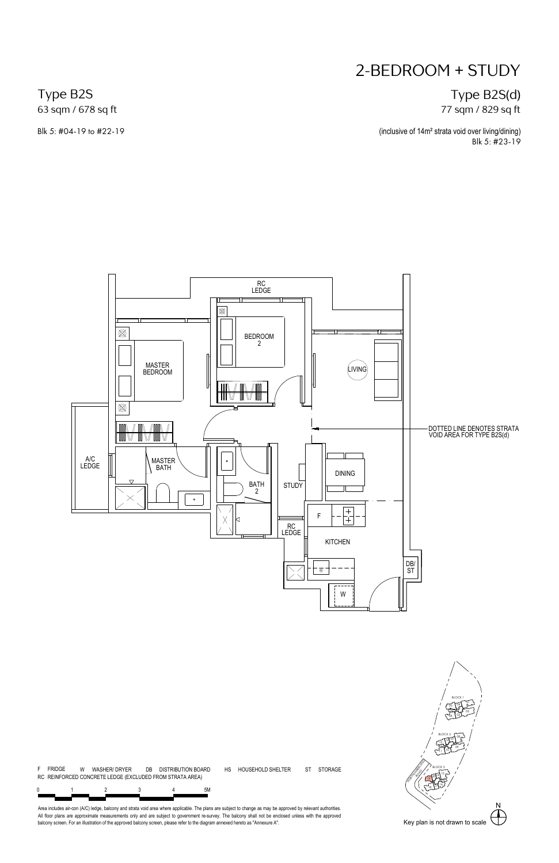### Type B2S(d) 77 sqm / 829 sq ft

(inclusive of 14m² strata void over living/dining) Blk 5: #23-19

Type B2S 63 sqm / 678 sq ft

Blk 5: #04-19 to #22-19





Area includes air-con (A/C) ledge, balcony and strata vold area where applicable. The plans are subject to change as may be approved by relevant authorities.<br>All floor plans are approximate measurements only and are subjec

01 **\** /

ر قسمبر 200**1** 65

BLOCK 1

N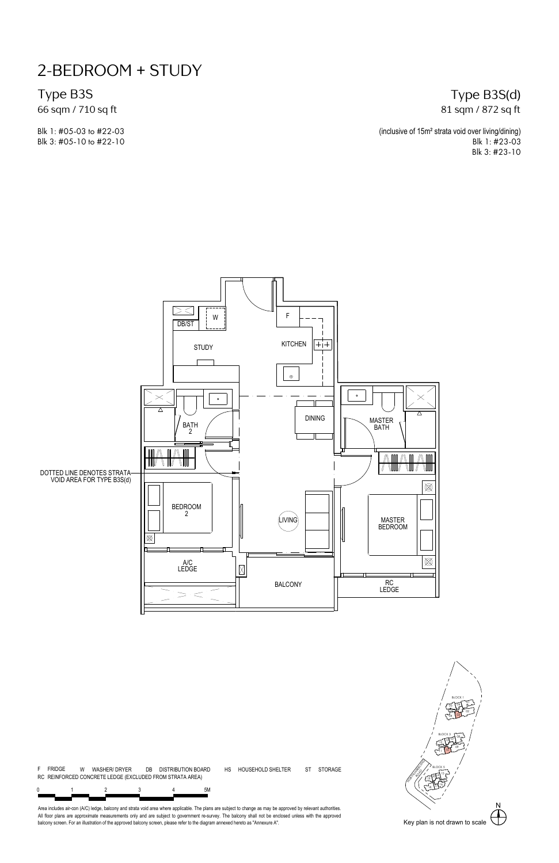Type B3S

66 sqm / 710 sq ft

Blk 1: #05-03 to #22-03 Blk 3: #05-10 to #22-10

#### Type B3S(d) 81 sqm / 872 sq ft

(inclusive of 15m² strata void over living/dining) Blk 1: #23-03 Blk 3: #23-10



F FRIDGE W WASHER/ DRYER DB DISTRIBUTION BOARD HS HOUSEHOLD SHELTER 0 1 2 3 4 5M ST STORAGE 4 RC REINFORCED CONCRETE LEDGE (EXCLUDED FROM STRATA AREA)

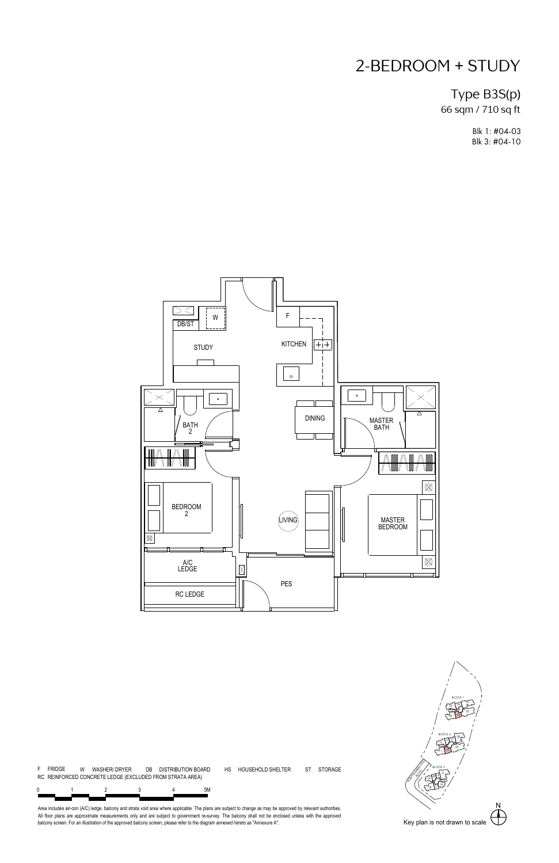### Type B3S(p) 66 sqm / 710 sq ft

Blk 1: #04-03 Blk 3: #04-10



F FRIDGE W WASHER/ DRYER DB DISTRIBUTION BOARD HS HOUSEHOLD SHELTER 0 1 2 3 4 5M RC REINFORCED CONCRETE LEDGE (EXCLUDED FROM STRATA AREA)

ST STORAGE



Area includes air-con (A/C) ledge, balcony and strata vold area where applicable. The plans are subject to change as may be approved by relevant authorities.<br>All floor plans are approximate measurements only and are subjec

4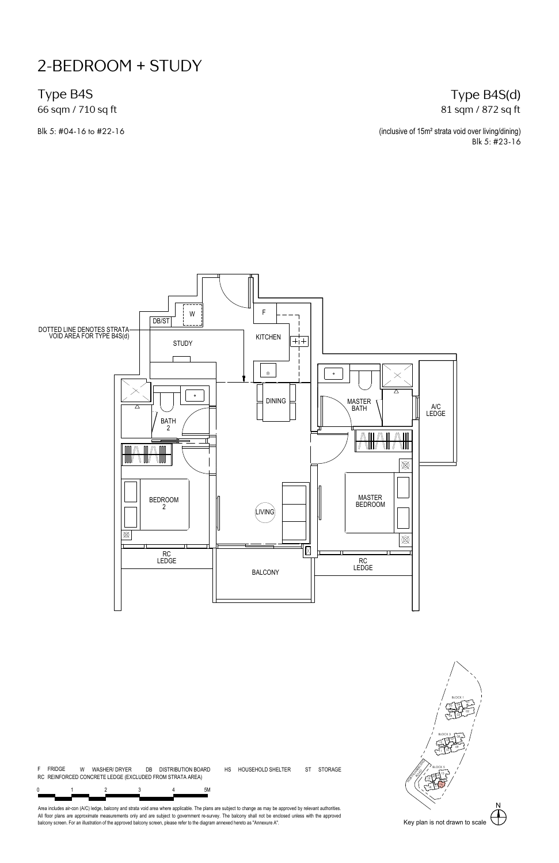Type B4S

66 sqm / 710 sq ft

#### Type B4S(d) 81 sqm / 872 sq ft

Blk 5: #04-16 to #22-16 **(inclusive of 15m<sup>2</sup> strata void over living/dining)** Blk 5: #23-16



N NORTHUMBERLAND 01 **\** / 02 17  $03 - 7$ 1 <u>نسمان</u> آ®آ 56 ا د 08 09  $10$   $10$   $10$   $10$   $10$   $10$   $10$   $10$ <sup>12</sup> <sup>13</sup> <sup>07</sup>  $\sqrt{15}$   $\frac{1}{2}$   $\frac{1}{2}$   $\frac{1}{2}$   $\frac{1}{2}$   $\frac{1}{2}$   $\frac{1}{2}$   $\frac{1}{2}$   $\frac{1}{2}$   $\frac{1}{2}$   $\frac{1}{2}$   $\frac{1}{2}$   $\frac{1}{2}$   $\frac{1}{2}$   $\frac{1}{2}$   $\frac{1}{2}$   $\frac{1}{2}$   $\frac{1}{2}$   $\frac{1}{2}$   $\frac{1}{2}$   $\frac{1}{2}$   $\frac{1}{2}$   $\$  $165/$  $18 \frac{17}{12}$ / ك<del>ے لمائے 19</del> BLOCK 1 BLOCK 3  $\sum_{n=1}^{n}$ BLOCK 5

0 1 2 3 4 5M 4

F FRIDGE W WASHER/ DRYER DB DISTRIBUTION BOARD HS HOUSEHOLD SHELTER

RC REINFORCED CONCRETE LEDGE (EXCLUDED FROM STRATA AREA)

Area includes air-con (A/C) ledge, balcony and strata vold area where applicable. The plans are subject to change as may be approved by relevant authorities.<br>All floor plans are approximate measurements only and are subjec

ST STORAGE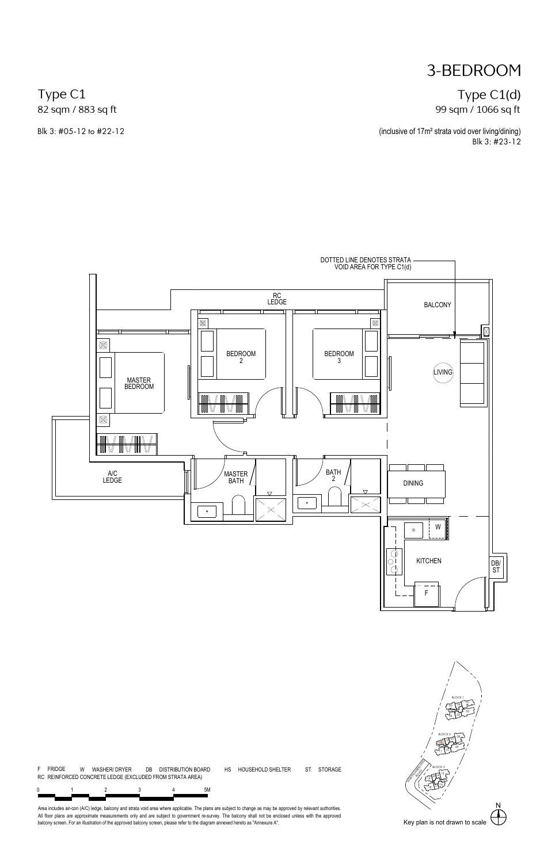## 3-BEDROOM

### Type C1(d) 99 sqm / 1066 sq ft

(inclusive of 17m² strata void over living/dining) Blk 3: #23-12

Type C1 82 sqm / 883 sq ft

Blk 3: #05-12 to #22-12





F FRIDGE W WASHER/ DRYER DB DISTRIBUTION BOARD HS HOUSEHOLD SHELTER 0 1 2 3 4 5M ST STORAGE 4 RC REINFORCED CONCRETE LEDGE (EXCLUDED FROM STRATA AREA)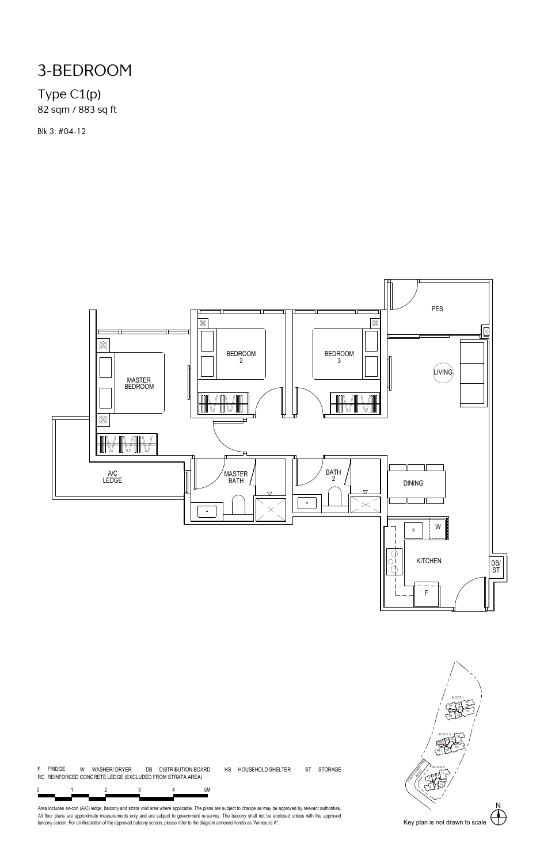# 3-BEDROOM

### Type C1(p) 82 sqm / 883 sq ft

Blk 3: #04-12



ST STORAGE



F FRIDGE W WASHER/ DRYER DB DISTRIBUTION BOARD HS HOUSEHOLD SHELTER RC REINFORCED CONCRETE LEDGE (EXCLUDED FROM STRATA AREA)

0 1 2 3 4 5M 4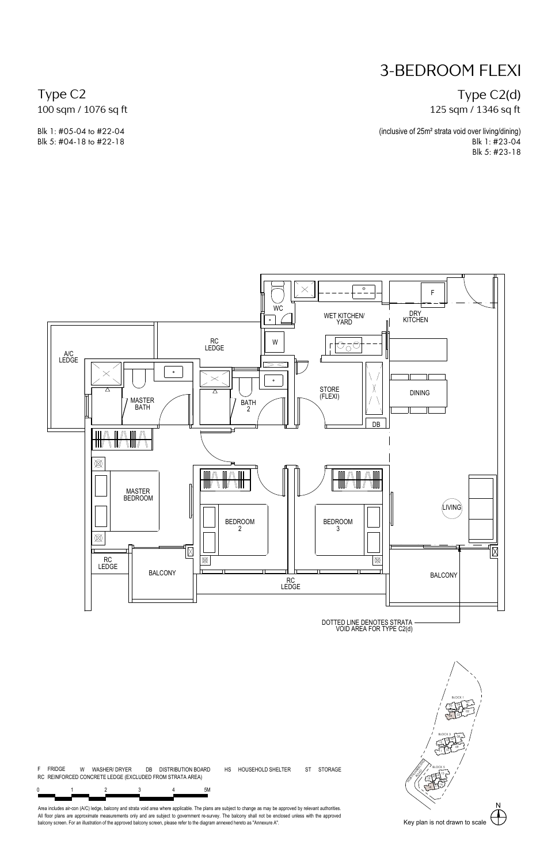Type C2(d) 125 sqm / 1346 sq ft

(inclusive of 25m² strata void over living/dining) Blk 1: #23-04 Blk 5: #23-18

Type C2 100 sqm / 1076 sq ft

Blk 1: #05-04 to #22-04 Blk 5: #04-18 to #22-18



F FRIDGE W WASHER/ DRYER DB DISTRIBUTION BOARD HS HOUSEHOLD SHELTER 0 1 2 3 4 5M ST STORAGE 5<sub>M</sub> RC REINFORCED CONCRETE LEDGE (EXCLUDED FROM STRATA AREA)

N

 $\sqrt{15}$   $\frac{1}{2}$   $\frac{1}{2}$   $\frac{1}{2}$   $\frac{1}{2}$   $\frac{1}{2}$   $\frac{1}{2}$   $\frac{1}{2}$   $\frac{1}{2}$   $\frac{1}{2}$   $\frac{1}{2}$   $\frac{1}{2}$   $\frac{1}{2}$   $\frac{1}{2}$   $\frac{1}{2}$   $\frac{1}{2}$   $\frac{1}{2}$   $\frac{1}{2}$   $\frac{1}{2}$   $\frac{1}{2}$   $\frac{1}{2}$   $\frac{1}{2}$   $\$ 16 S / 2002  $18$  12  $-$ / ك<del>ے ان</del>گر<sup>19</sup>

BLOCK 3  $\sum_{n=1}^{n}$ 

01 **\** / 02 17  $03 - 7$ ر قسمبر 200**1** 65

ا د 08 09  $10$   $10$   $10$   $10$   $10$   $10$   $10$   $10$ <sup>12</sup> <sup>13</sup> <sup>07</sup>

BLOCK 1

NORTHUMBERLAND

BLOCK 5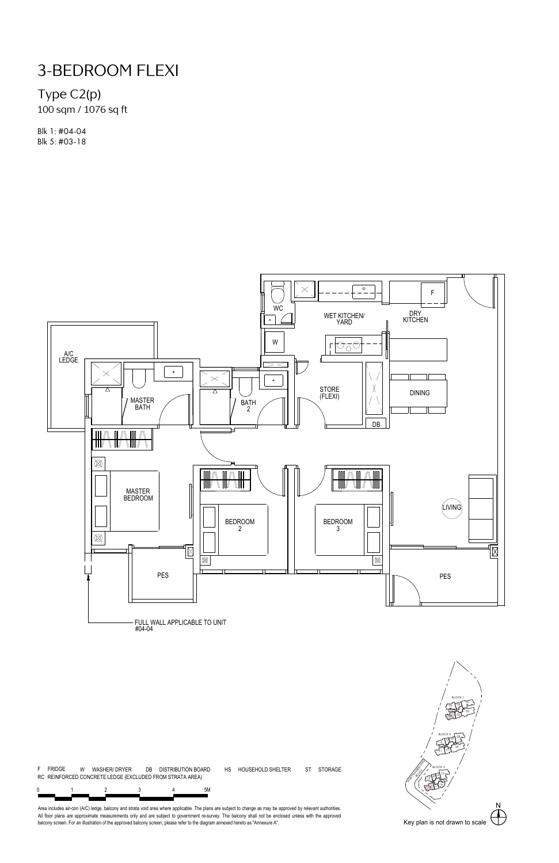### Type C2(p)

100 sqm / 1076 sq ft

Blk 1: #04-04 Blk 5: #03-18



F FRIDGE W WASHER/ DRYER DB DISTRIBUTION BOARD HS HOUSEHOLD SHELTER 0 1 2 3 4 5M ST STORAGE 4 RC REINFORCED CONCRETE LEDGE (EXCLUDED FROM STRATA AREA)

N NORTHUMBERLAND 01 **\** / 02 17  $03 - 7$ ر قسمبر 200**1** 65 ا د 08 09  $10$   $10$   $10$   $10$   $10$   $10$   $10$   $10$ <sup>12</sup> <sup>13</sup> <sup>07</sup>  $\sqrt{15}$   $\frac{1}{2}$   $\frac{1}{2}$   $\frac{1}{2}$   $\frac{1}{2}$   $\frac{1}{2}$   $\frac{1}{2}$   $\frac{1}{2}$   $\frac{1}{2}$   $\frac{1}{2}$   $\frac{1}{2}$   $\frac{1}{2}$   $\frac{1}{2}$   $\frac{1}{2}$   $\frac{1}{2}$   $\frac{1}{2}$   $\frac{1}{2}$   $\frac{1}{2}$   $\frac{1}{2}$   $\frac{1}{2}$   $\frac{1}{2}$   $\frac{1}{2}$   $\$ 16 S / 2002  $18$  12  $-$ / ك<del>ے ان</del>گر<sup>19</sup> BLOCK 1 BLOCK 3  $\sum_{n=1}^{n}$ BLOCK 5 /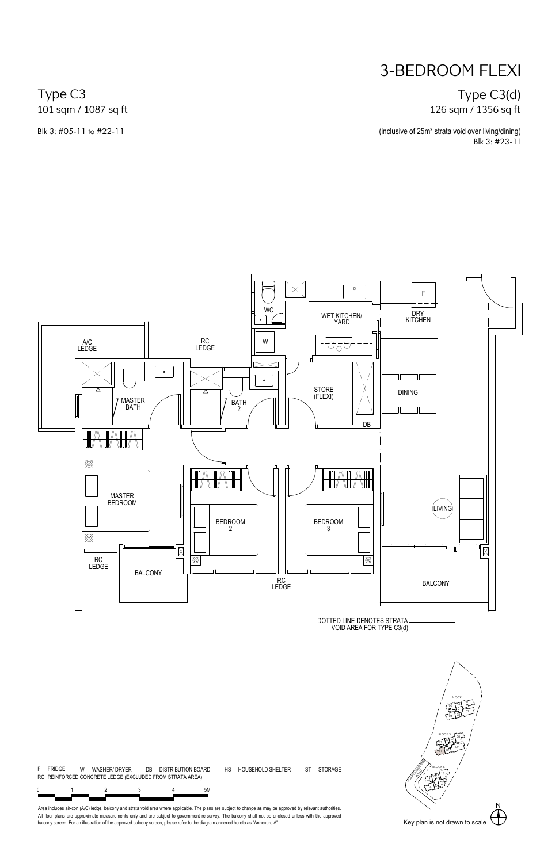#### Type C3(d) 126 sqm / 1356 sq ft

(inclusive of 25m² strata void over living/dining) Blk 3: #23-11

Type C3 101 sqm / 1087 sq ft

Blk 3: #05-11 to #22-11



F FRIDGE W WASHER/ DRYER DB DISTRIBUTION BOARD HS HOUSEHOLD SHELTER 0 1 2 3 4 5M ST STORAGE 5<sub>M</sub> RC REINFORCED CONCRETE LEDGE (EXCLUDED FROM STRATA AREA)

N NORTHUMBERLAND  $\sqrt{15}$   $\frac{1}{2}$   $\frac{1}{2}$   $\frac{1}{2}$   $\frac{1}{2}$   $\frac{1}{2}$   $\frac{1}{2}$   $\frac{1}{2}$   $\frac{1}{2}$   $\frac{1}{2}$   $\frac{1}{2}$   $\frac{1}{2}$   $\frac{1}{2}$   $\frac{1}{2}$   $\frac{1}{2}$   $\frac{1}{2}$   $\frac{1}{2}$   $\frac{1}{2}$   $\frac{1}{2}$   $\frac{1}{2}$   $\frac{1}{2}$   $\frac{1}{2}$   $\$ 16 S / 2002 م مستوفر 18 18 / ك<del>ے ان</del>گر<sup>19</sup> BLOCK 5 /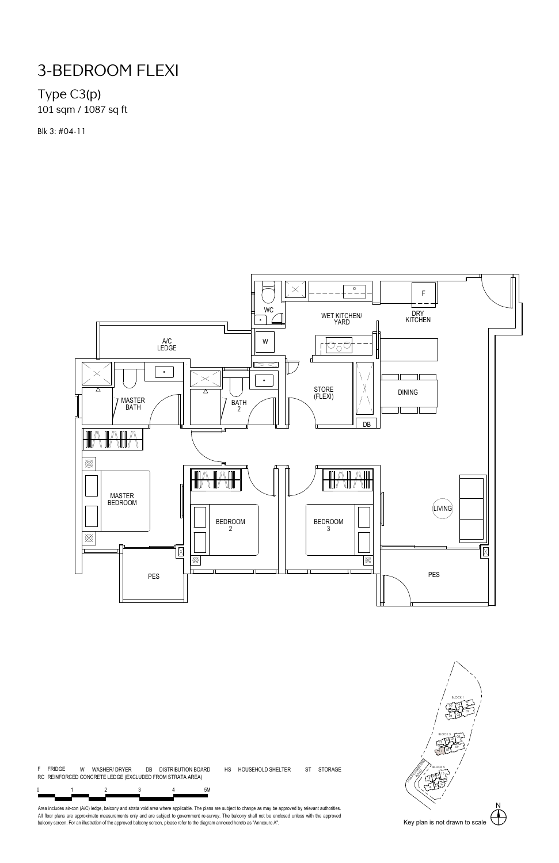### Type C3(p) 101 sqm / 1087 sq ft

Blk 3: #04-11



F FRIDGE W WASHER/ DRYER DB DISTRIBUTION BOARD HS HOUSEHOLD SHELTER 0 1 2 3 4 5M ST STORAGE 4 RC REINFORCED CONCRETE LEDGE (EXCLUDED FROM STRATA AREA)

N NORTHUMBERLAND 01 **\** / 02 17  $03 - 7$ ر قسمبر 200**1** 65 ا د 08 09 10 11 <sup>12</sup> <sup>13</sup> <sup>07</sup>  $\sqrt{15}$   $\frac{1}{2}$   $\frac{1}{2}$   $\frac{1}{2}$   $\frac{1}{2}$   $\frac{1}{2}$   $\frac{1}{2}$   $\frac{1}{2}$   $\frac{1}{2}$   $\frac{1}{2}$   $\frac{1}{2}$   $\frac{1}{2}$   $\frac{1}{2}$   $\frac{1}{2}$   $\frac{1}{2}$   $\frac{1}{2}$   $\frac{1}{2}$   $\frac{1}{2}$   $\frac{1}{2}$   $\frac{1}{2}$   $\frac{1}{2}$   $\frac{1}{2}$   $\$ 16 S / 2002 م مستوفر 18 18 / ك<del>ے ان</del>گر<sup>19</sup> BLOCK 1 BLOCK 3  $\sum_{n=1}^{n}$ BLOCK 5 /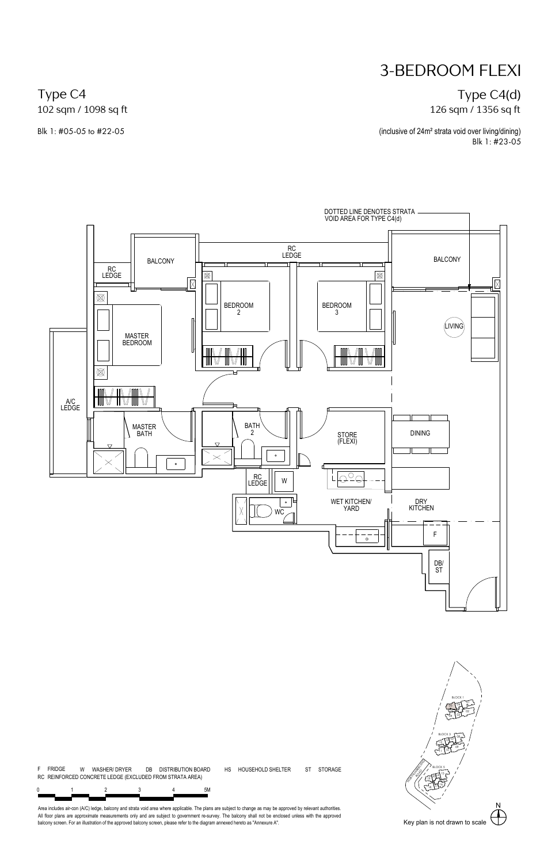#### Type C4(d) 126 sqm / 1356 sq ft

(inclusive of 24m² strata void over living/dining) Blk 1: #23-05

Type C4 102 sqm / 1098 sq ft

Blk 1: #05-05 to #22-05



ST STORAGE



Area includes air-con (A/C) ledge, balcony and strata vold area where applicable. The plans are subject to change as may be approved by relevant authorities.<br>All floor plans are approximate measurements only and are subjec

4

F FRIDGE W WASHER/ DRYER DB DISTRIBUTION BOARD HS HOUSEHOLD SHELTER

0 1 2 3 4 5M

RC REINFORCED CONCRETE LEDGE (EXCLUDED FROM STRATA AREA)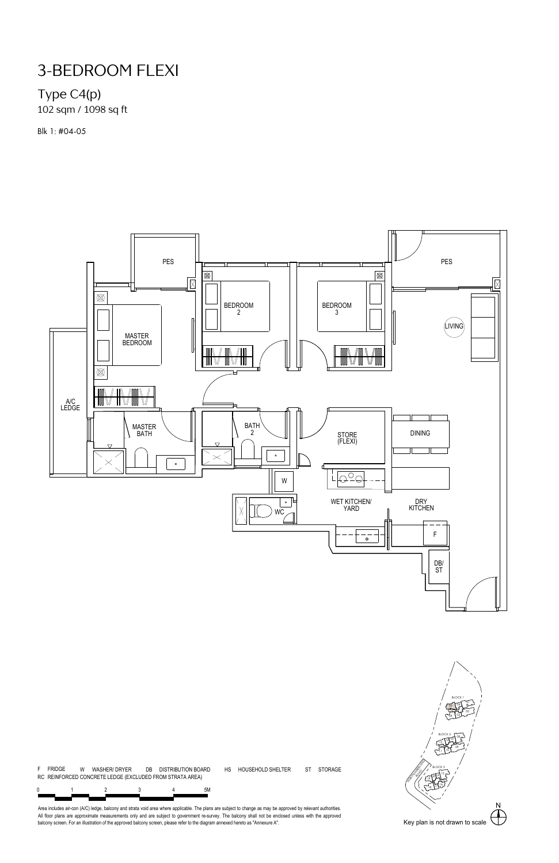# Type C4(p)

102 sqm / 1098 sq ft

Blk 1: #04-05



ST STORAGE



F FRIDGE W WASHER/ DRYER DB DISTRIBUTION BOARD HS HOUSEHOLD SHELTER RC REINFORCED CONCRETE LEDGE (EXCLUDED FROM STRATA AREA)

0 1 2 3 4 5M 4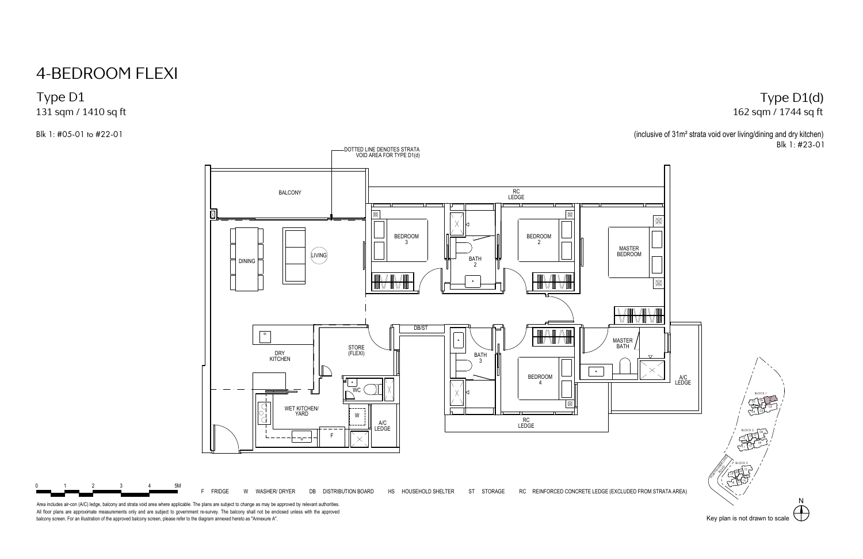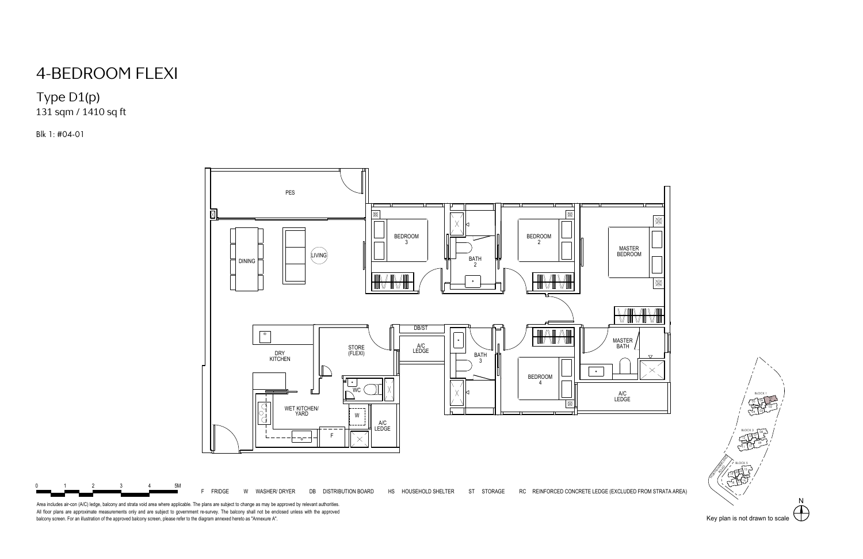

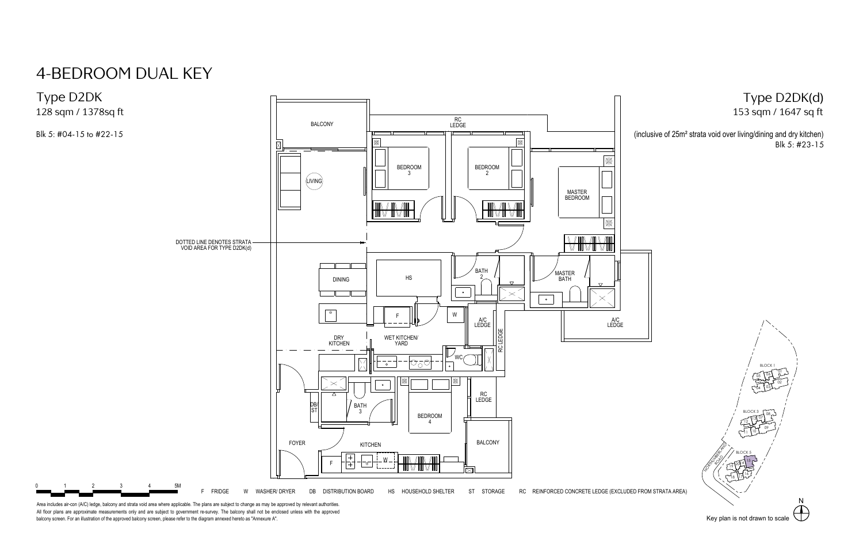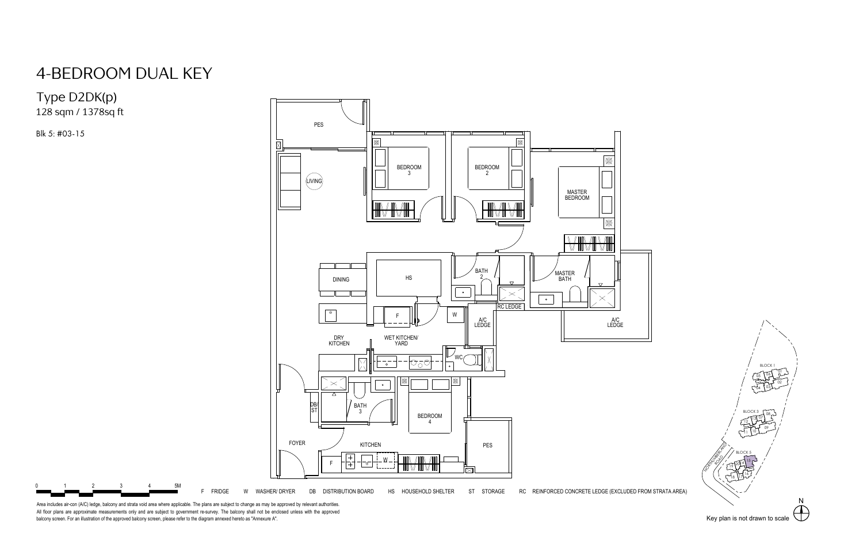# 4-BEDROOM DUAL KEY<br>Type D2DK(p)<br><sup>128 sqm</sup> / <sup>1378sq ft</sup><br><sup>Blk 5: #03-15</sup>





|<br>|<br>|6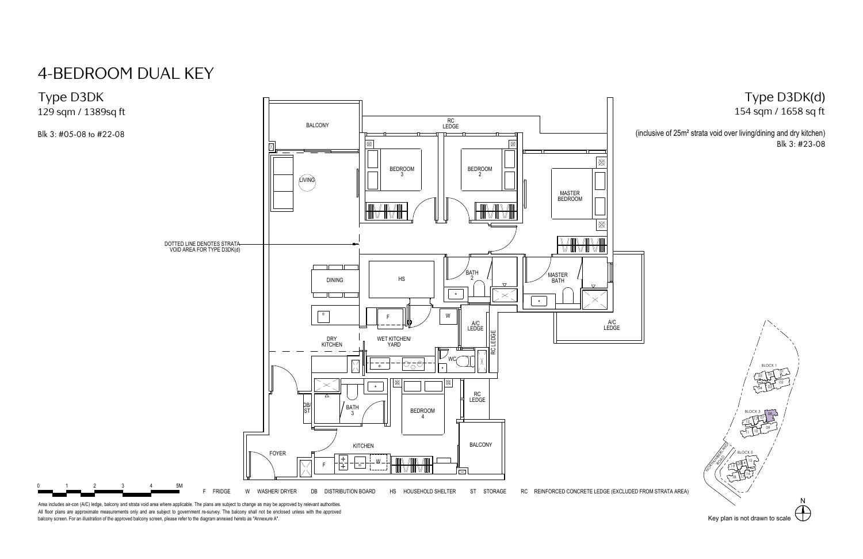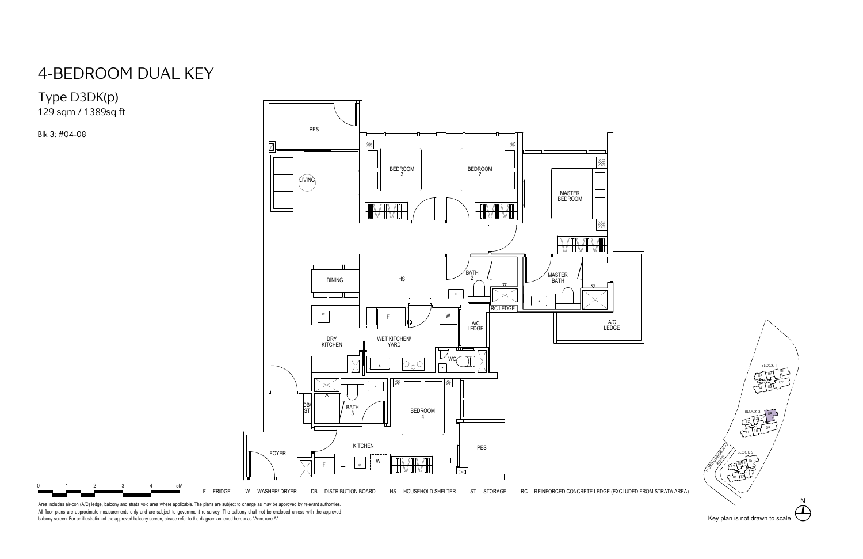



|<br>|<br>|6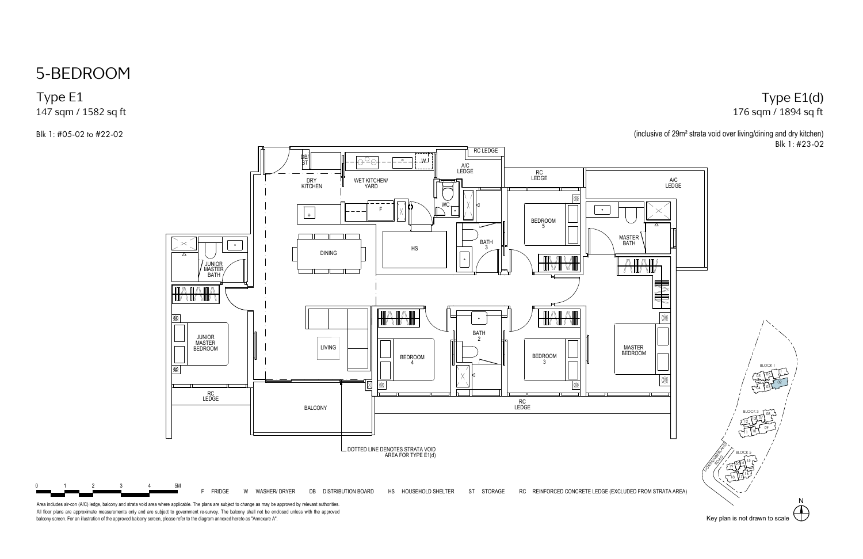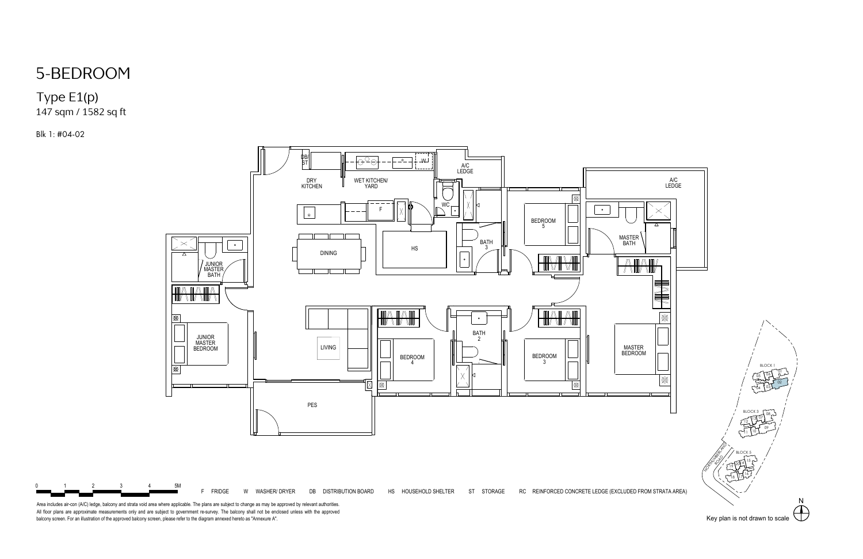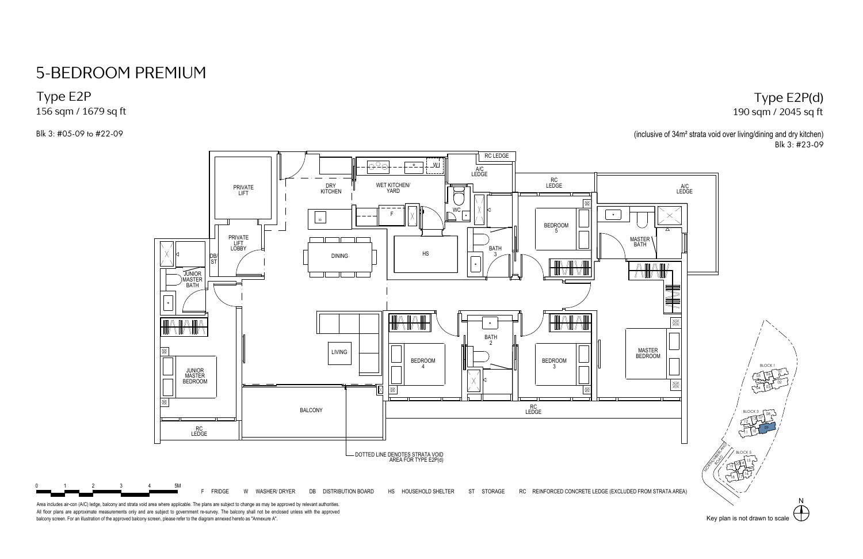